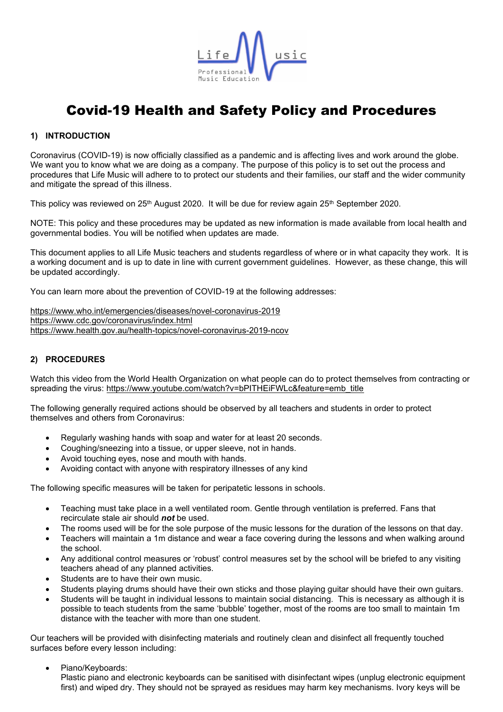

# Covid-19 Health and Safety Policy and Procedures

### **1) INTRODUCTION**

Coronavirus (COVID-19) is now officially classified as a pandemic and is affecting lives and work around the globe. We want you to know what we are doing as a company. The purpose of this policy is to set out the process and procedures that Life Music will adhere to to protect our students and their families, our staff and the wider community and mitigate the spread of this illness.

This policy was reviewed on 25<sup>th</sup> August 2020. It will be due for review again 25<sup>th</sup> September 2020.

NOTE: This policy and these procedures may be updated as new information is made available from local health and governmental bodies. You will be notified when updates are made.

This document applies to all Life Music teachers and students regardless of where or in what capacity they work. It is a working document and is up to date in line with current government guidelines. However, as these change, this will be updated accordingly.

You can learn more about the prevention of COVID-19 at the following addresses:

<https://www.who.int/emergencies/diseases/novel-coronavirus-2019> [https://www.cdc.gov/coronavirus/index.html](https://www.who.int/emergencies/diseases/novel-coronavirus-2019) [https://www.health.gov.au/health-topics/novel-coronavirus-2019-ncov](https://www.who.int/emergencies/diseases/novel-coronavirus-2019)

### **2) PROCEDURES**

Watch this video from the World Health Organization on what people can do to protect themselves from contracting or spreading the virus: [https://www.youtube.com/watch?v=bPITHEiFWLc&feature=emb\\_title](https://www.youtube.com/watch?v=bPITHEiFWLc&feature=emb_title)

The following generally required actions should be observed by all teachers and students in order to protect themselves and others from Coronavirus:

- Regularly [washing hands](https://www.cdc.gov/healthywater/hygiene/hand/handwashing.html) with soap and water for at least 20 seconds.
- [Coughing/sneezing](https://www.cdc.gov/healthywater/hygiene/etiquette/coughing_sneezing.html) into a tissue, or upper sleeve, not in hands.
- Avoid touching eyes, nose and mouth with hands.
- Avoiding contact with anyone with respiratory illnesses of any kind

The following specific measures will be taken for peripatetic lessons in schools.

- Teaching must take place in a well ventilated room. Gentle through ventilation is preferred. Fans that recirculate stale air should *not* be used.
- The rooms used will be for the sole purpose of the music lessons for the duration of the lessons on that day.
- Teachers will maintain a 1m distance and wear a face covering during the lessons and when walking around the school.
- Any additional control measures or 'robust' control measures set by the school will be briefed to any visiting teachers ahead of any planned activities.
- Students are to have their own music.
- Students playing drums should have their own sticks and those playing guitar should have their own guitars.
- Students will be taught in individual lessons to maintain social distancing. This is necessary as although it is possible to teach students from the same 'bubble' together, most of the rooms are too small to maintain 1m distance with the teacher with more than one student.

Our teachers will be provided with disinfecting materials and routinely clean and disinfect all frequently touched surfaces before every lesson including:

Piano/Keyboards:

Plastic piano and electronic keyboards can be sanitised with disinfectant wipes (unplug electronic equipment first) and wiped dry. They should not be sprayed as residues may harm key mechanisms. Ivory keys will be